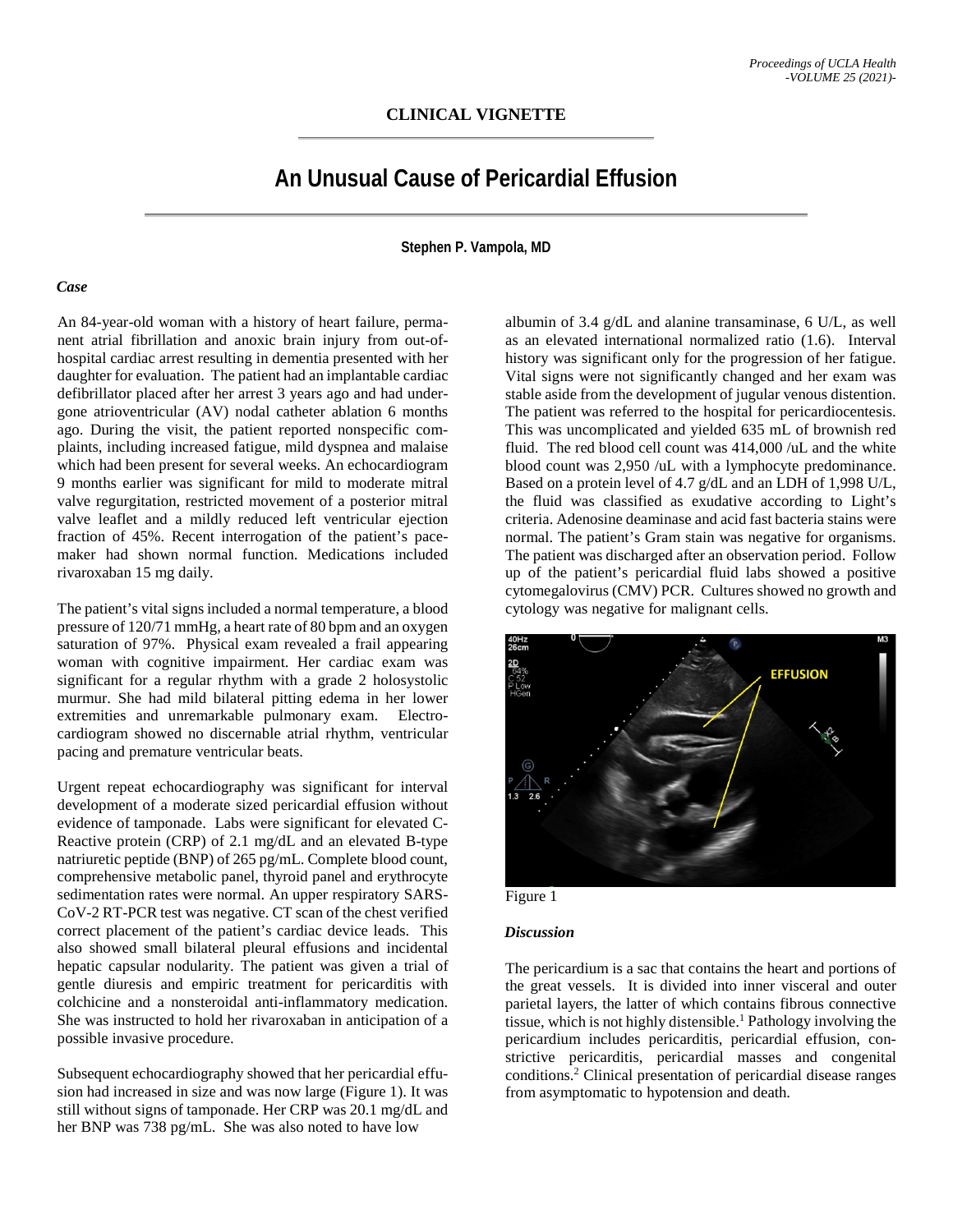# **An Unusual Cause of Pericardial Effusion**

**Stephen P. Vampola, MD**

#### *Case*

An 84-year-old woman with a history of heart failure, permanent atrial fibrillation and anoxic brain injury from out-ofhospital cardiac arrest resulting in dementia presented with her daughter for evaluation. The patient had an implantable cardiac defibrillator placed after her arrest 3 years ago and had undergone atrioventricular (AV) nodal catheter ablation 6 months ago. During the visit, the patient reported nonspecific complaints, including increased fatigue, mild dyspnea and malaise which had been present for several weeks. An echocardiogram 9 months earlier was significant for mild to moderate mitral valve regurgitation, restricted movement of a posterior mitral valve leaflet and a mildly reduced left ventricular ejection fraction of 45%. Recent interrogation of the patient's pacemaker had shown normal function. Medications included rivaroxaban 15 mg daily.

The patient's vital signs included a normal temperature, a blood pressure of 120/71 mmHg, a heart rate of 80 bpm and an oxygen saturation of 97%. Physical exam revealed a frail appearing woman with cognitive impairment. Her cardiac exam was significant for a regular rhythm with a grade 2 holosystolic murmur. She had mild bilateral pitting edema in her lower extremities and unremarkable pulmonary exam. Electrocardiogram showed no discernable atrial rhythm, ventricular pacing and premature ventricular beats.

Urgent repeat echocardiography was significant for interval development of a moderate sized pericardial effusion without evidence of tamponade. Labs were significant for elevated C-Reactive protein (CRP) of 2.1 mg/dL and an elevated B-type natriuretic peptide (BNP) of 265 pg/mL. Complete blood count, comprehensive metabolic panel, thyroid panel and erythrocyte sedimentation rates were normal. An upper respiratory SARS-CoV-2 RT-PCR test was negative. CT scan of the chest verified correct placement of the patient's cardiac device leads. This also showed small bilateral pleural effusions and incidental hepatic capsular nodularity. The patient was given a trial of gentle diuresis and empiric treatment for pericarditis with colchicine and a nonsteroidal anti-inflammatory medication. She was instructed to hold her rivaroxaban in anticipation of a possible invasive procedure.

Subsequent echocardiography showed that her pericardial effusion had increased in size and was now large (Figure 1). It was still without signs of tamponade. Her CRP was 20.1 mg/dL and her BNP was 738 pg/mL. She was also noted to have low

albumin of 3.4 g/dL and alanine transaminase, 6 U/L, as well as an elevated international normalized ratio (1.6). Interval history was significant only for the progression of her fatigue. Vital signs were not significantly changed and her exam was stable aside from the development of jugular venous distention. The patient was referred to the hospital for pericardiocentesis. This was uncomplicated and yielded 635 mL of brownish red fluid. The red blood cell count was 414,000 /uL and the white blood count was 2,950 /uL with a lymphocyte predominance. Based on a protein level of 4.7 g/dL and an LDH of 1,998 U/L, the fluid was classified as exudative according to Light's criteria. Adenosine deaminase and acid fast bacteria stains were normal. The patient's Gram stain was negative for organisms. The patient was discharged after an observation period. Follow up of the patient's pericardial fluid labs showed a positive cytomegalovirus (CMV) PCR. Cultures showed no growth and cytology was negative for malignant cells.



Figure 1

### *Discussion*

The pericardium is a sac that contains the heart and portions of the great vessels. It is divided into inner visceral and outer parietal layers, the latter of which contains fibrous connective tissue, which is not highly distensible.<sup>1</sup> Pathology involving the pericardium includes pericarditis, pericardial effusion, constrictive pericarditis, pericardial masses and congenital conditions.2 Clinical presentation of pericardial disease ranges from asymptomatic to hypotension and death.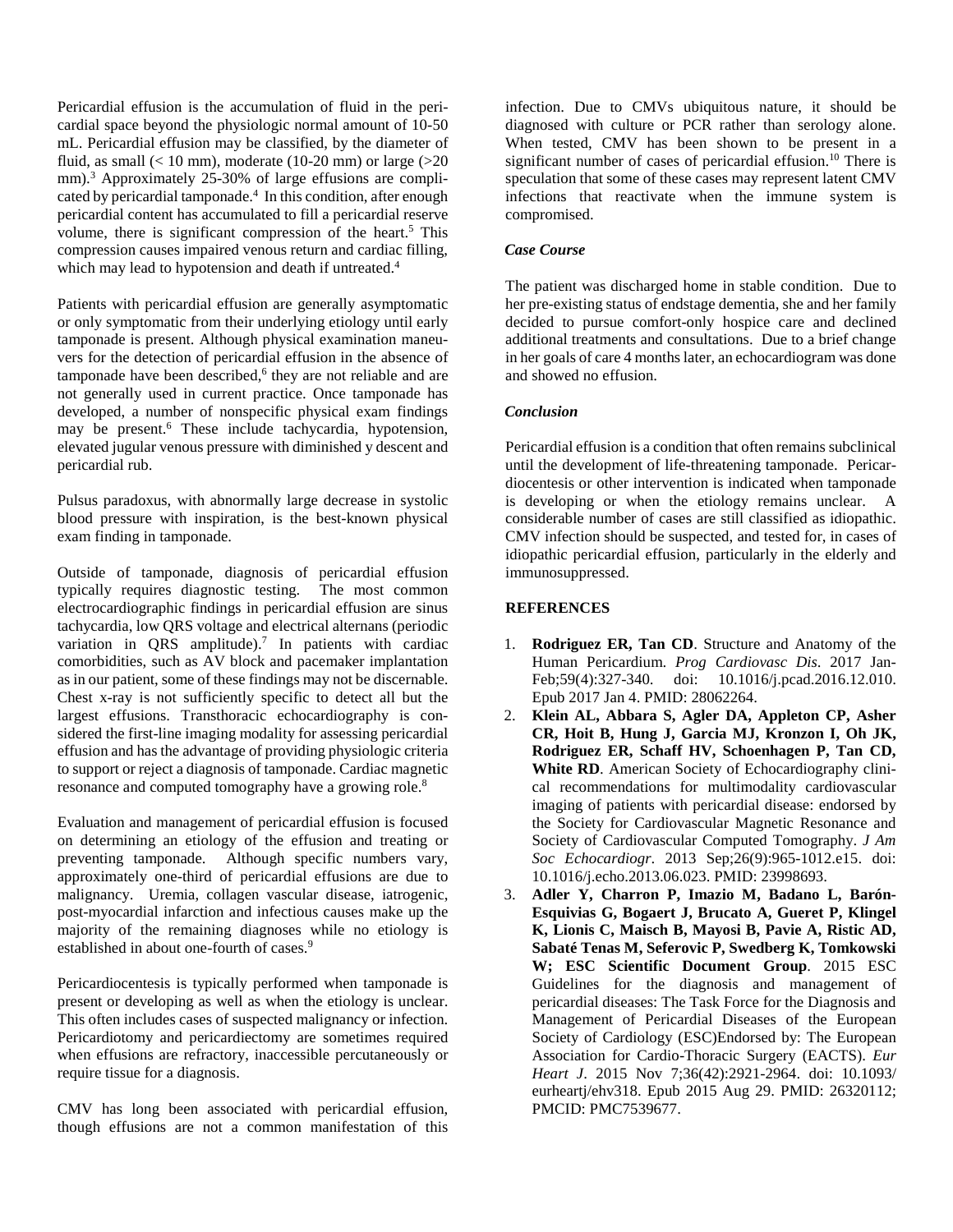Pericardial effusion is the accumulation of fluid in the pericardial space beyond the physiologic normal amount of 10-50 mL. Pericardial effusion may be classified, by the diameter of fluid, as small  $(< 10$  mm), moderate (10-20 mm) or large  $(>20$ mm).<sup>3</sup> Approximately 25-30% of large effusions are complicated by pericardial tamponade.<sup>4</sup> In this condition, after enough pericardial content has accumulated to fill a pericardial reserve volume, there is significant compression of the heart.<sup>5</sup> This compression causes impaired venous return and cardiac filling, which may lead to hypotension and death if untreated.<sup>4</sup>

Patients with pericardial effusion are generally asymptomatic or only symptomatic from their underlying etiology until early tamponade is present. Although physical examination maneuvers for the detection of pericardial effusion in the absence of tamponade have been described, <sup>6</sup> they are not reliable and are not generally used in current practice. Once tamponade has developed, a number of nonspecific physical exam findings may be present.6 These include tachycardia, hypotension, elevated jugular venous pressure with diminished y descent and pericardial rub.

Pulsus paradoxus, with abnormally large decrease in systolic blood pressure with inspiration, is the best-known physical exam finding in tamponade.

Outside of tamponade, diagnosis of pericardial effusion typically requires diagnostic testing. The most common electrocardiographic findings in pericardial effusion are sinus tachycardia, low QRS voltage and electrical alternans (periodic variation in  $QRS$  amplitude).<sup>7</sup> In patients with cardiac comorbidities, such as AV block and pacemaker implantation as in our patient, some of these findings may not be discernable. Chest x-ray is not sufficiently specific to detect all but the largest effusions. Transthoracic echocardiography is considered the first-line imaging modality for assessing pericardial effusion and has the advantage of providing physiologic criteria to support or reject a diagnosis of tamponade. Cardiac magnetic resonance and computed tomography have a growing role.<sup>8</sup>

Evaluation and management of pericardial effusion is focused on determining an etiology of the effusion and treating or preventing tamponade. Although specific numbers vary, approximately one-third of pericardial effusions are due to malignancy. Uremia, collagen vascular disease, iatrogenic, post-myocardial infarction and infectious causes make up the majority of the remaining diagnoses while no etiology is established in about one-fourth of cases.<sup>9</sup>

Pericardiocentesis is typically performed when tamponade is present or developing as well as when the etiology is unclear. This often includes cases of suspected malignancy or infection. Pericardiotomy and pericardiectomy are sometimes required when effusions are refractory, inaccessible percutaneously or require tissue for a diagnosis.

CMV has long been associated with pericardial effusion, though effusions are not a common manifestation of this infection. Due to CMVs ubiquitous nature, it should be diagnosed with culture or PCR rather than serology alone. When tested, CMV has been shown to be present in a significant number of cases of pericardial effusion. <sup>10</sup> There is speculation that some of these cases may represent latent CMV infections that reactivate when the immune system is compromised.

### *Case Course*

The patient was discharged home in stable condition. Due to her pre-existing status of endstage dementia, she and her family decided to pursue comfort-only hospice care and declined additional treatments and consultations. Due to a brief change in her goals of care 4 months later, an echocardiogram was done and showed no effusion.

## *Conclusion*

Pericardial effusion is a condition that often remains subclinical until the development of life-threatening tamponade. Pericardiocentesis or other intervention is indicated when tamponade is developing or when the etiology remains unclear. A considerable number of cases are still classified as idiopathic. CMV infection should be suspected, and tested for, in cases of idiopathic pericardial effusion, particularly in the elderly and immunosuppressed.

## **REFERENCES**

- 1. **Rodriguez ER, Tan CD**. Structure and Anatomy of the Human Pericardium. *Prog Cardiovasc Dis*. 2017 Jan-Feb;59(4):327-340. doi: 10.1016/j.pcad.2016.12.010. Epub 2017 Jan 4. PMID: 28062264.
- 2. **Klein AL, Abbara S, Agler DA, Appleton CP, Asher CR, Hoit B, Hung J, Garcia MJ, Kronzon I, Oh JK, Rodriguez ER, Schaff HV, Schoenhagen P, Tan CD, White RD**. American Society of Echocardiography clinical recommendations for multimodality cardiovascular imaging of patients with pericardial disease: endorsed by the Society for Cardiovascular Magnetic Resonance and Society of Cardiovascular Computed Tomography. *J Am Soc Echocardiogr*. 2013 Sep;26(9):965-1012.e15. doi: 10.1016/j.echo.2013.06.023. PMID: 23998693.
- 3. **Adler Y, Charron P, Imazio M, Badano L, Barón-Esquivias G, Bogaert J, Brucato A, Gueret P, Klingel K, Lionis C, Maisch B, Mayosi B, Pavie A, Ristic AD, Sabaté Tenas M, Seferovic P, Swedberg K, Tomkowski W; ESC Scientific Document Group**. 2015 ESC Guidelines for the diagnosis and management of pericardial diseases: The Task Force for the Diagnosis and Management of Pericardial Diseases of the European Society of Cardiology (ESC)Endorsed by: The European Association for Cardio-Thoracic Surgery (EACTS). *Eur Heart J*. 2015 Nov 7;36(42):2921-2964. doi: 10.1093/ eurheartj/ehv318. Epub 2015 Aug 29. PMID: 26320112; PMCID: PMC7539677.